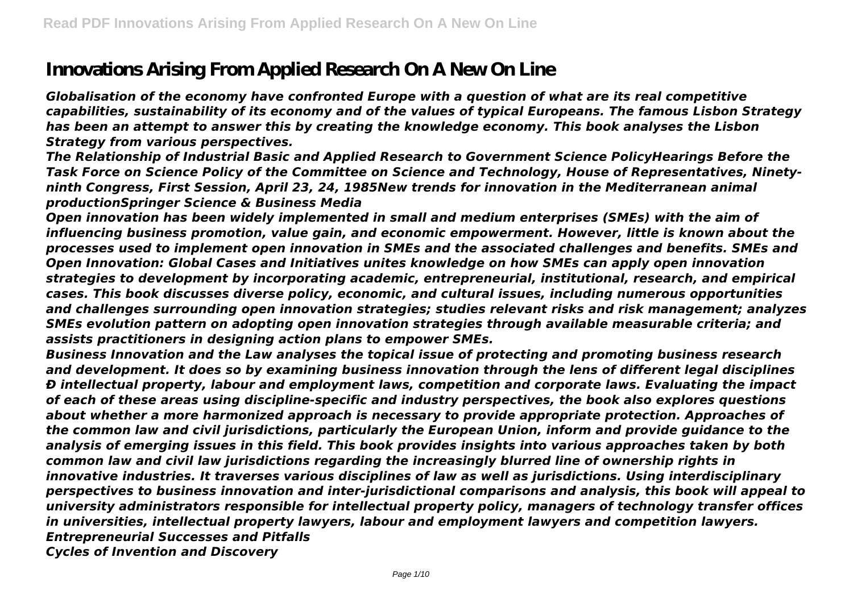# **Innovations Arising From Applied Research On A New On Line**

*Globalisation of the economy have confronted Europe with a question of what are its real competitive capabilities, sustainability of its economy and of the values of typical Europeans. The famous Lisbon Strategy has been an attempt to answer this by creating the knowledge economy. This book analyses the Lisbon Strategy from various perspectives.*

*The Relationship of Industrial Basic and Applied Research to Government Science PolicyHearings Before the Task Force on Science Policy of the Committee on Science and Technology, House of Representatives, Ninetyninth Congress, First Session, April 23, 24, 1985New trends for innovation in the Mediterranean animal productionSpringer Science & Business Media*

*Open innovation has been widely implemented in small and medium enterprises (SMEs) with the aim of influencing business promotion, value gain, and economic empowerment. However, little is known about the processes used to implement open innovation in SMEs and the associated challenges and benefits. SMEs and Open Innovation: Global Cases and Initiatives unites knowledge on how SMEs can apply open innovation strategies to development by incorporating academic, entrepreneurial, institutional, research, and empirical cases. This book discusses diverse policy, economic, and cultural issues, including numerous opportunities and challenges surrounding open innovation strategies; studies relevant risks and risk management; analyzes SMEs evolution pattern on adopting open innovation strategies through available measurable criteria; and assists practitioners in designing action plans to empower SMEs.*

*Business Innovation and the Law analyses the topical issue of protecting and promoting business research and development. It does so by examining business innovation through the lens of different legal disciplines Ð intellectual property, labour and employment laws, competition and corporate laws. Evaluating the impact of each of these areas using discipline-specific and industry perspectives, the book also explores questions about whether a more harmonized approach is necessary to provide appropriate protection. Approaches of the common law and civil jurisdictions, particularly the European Union, inform and provide guidance to the analysis of emerging issues in this field. This book provides insights into various approaches taken by both common law and civil law jurisdictions regarding the increasingly blurred line of ownership rights in innovative industries. It traverses various disciplines of law as well as jurisdictions. Using interdisciplinary perspectives to business innovation and inter-jurisdictional comparisons and analysis, this book will appeal to university administrators responsible for intellectual property policy, managers of technology transfer offices in universities, intellectual property lawyers, labour and employment lawyers and competition lawyers. Entrepreneurial Successes and Pitfalls Cycles of Invention and Discovery*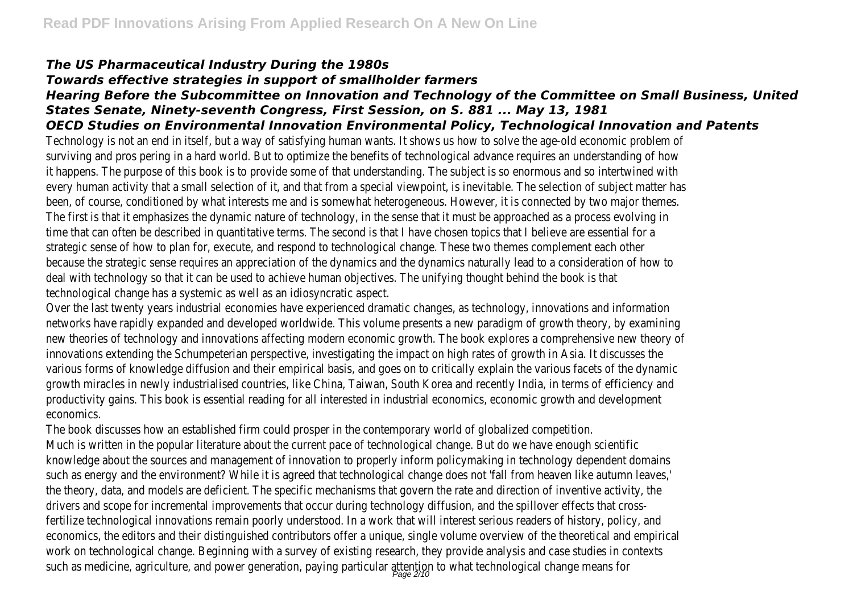### *The US Pharmaceutical Industry During the 1980s*

### *Towards effective strategies in support of smallholder farmers*

#### *Hearing Before the Subcommittee on Innovation and Technology of the Committee on Small Business, United States Senate, Ninety-seventh Congress, First Session, on S. 881 ... May 13, 1981 OECD Studies on Environmental Innovation Environmental Policy, Technological Innovation and Patents*

Technology is not an end in itself, but a way of satisfying human wants. It shows us how to solve the age-old economic problem of surviving and pros pering in a hard world. But to optimize the benefits of technological advance requires an understanding of how it happens. The purpose of this book is to provide some of that understanding. The subject is so enormous and so intertwined with every human activity that a small selection of it, and that from a special viewpoint, is inevitable. The selection of subject matter has been, of course, conditioned by what interests me and is somewhat heterogeneous. However, it is connected by two major themes. The first is that it emphasizes the dynamic nature of technology, in the sense that it must be approached as a process evolving in time that can often be described in quantitative terms. The second is that I have chosen topics that I believe are essential for a strategic sense of how to plan for, execute, and respond to technological change. These two themes complement each other because the strategic sense requires an appreciation of the dynamics and the dynamics naturally lead to a consideration of how to deal with technology so that it can be used to achieve human objectives. The unifying thought behind the book is that technological change has a systemic as well as an idiosyncratic aspect.

Over the last twenty years industrial economies have experienced dramatic changes, as technology, innovations and information networks have rapidly expanded and developed worldwide. This volume presents a new paradigm of growth theory, by examining new theories of technology and innovations affecting modern economic growth. The book explores a comprehensive new theory of innovations extending the Schumpeterian perspective, investigating the impact on high rates of growth in Asia. It discusses the various forms of knowledge diffusion and their empirical basis, and goes on to critically explain the various facets of the dynamic growth miracles in newly industrialised countries, like China, Taiwan, South Korea and recently India, in terms of efficiency and productivity gains. This book is essential reading for all interested in industrial economics, economic growth and development economics.

The book discusses how an established firm could prosper in the contemporary world of globalized competition. Much is written in the popular literature about the current pace of technological change. But do we have enough scientific knowledge about the sources and management of innovation to properly inform policymaking in technology dependent domains such as energy and the environment? While it is agreed that technological change does not 'fall from heaven like autumn leaves,' the theory, data, and models are deficient. The specific mechanisms that govern the rate and direction of inventive activity, the drivers and scope for incremental improvements that occur during technology diffusion, and the spillover effects that crossfertilize technological innovations remain poorly understood. In a work that will interest serious readers of history, policy, and economics, the editors and their distinguished contributors offer a unique, single volume overview of the theoretical and empirical work on technological change. Beginning with a survey of existing research, they provide analysis and case studies in contexts such as medicine, agriculture, and power generation, paying particular attention to what technological change means for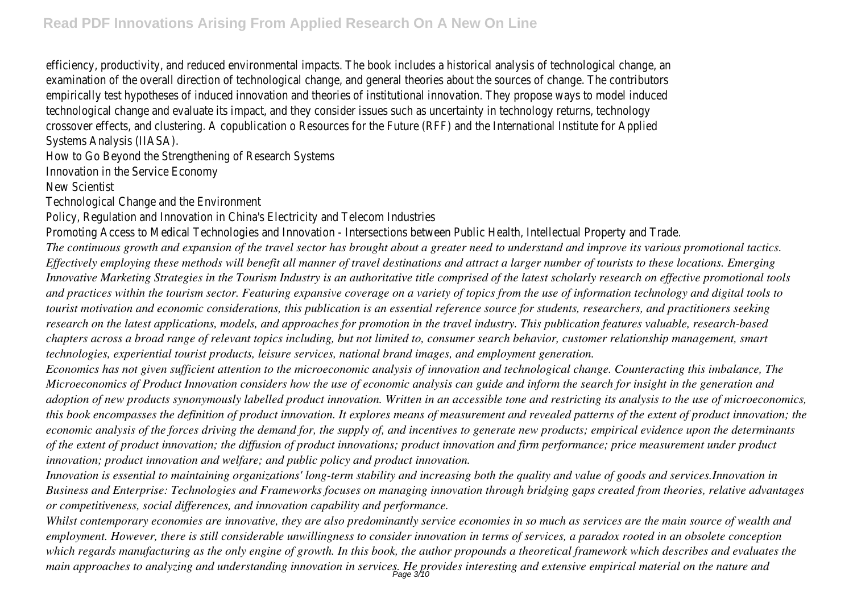efficiency, productivity, and reduced environmental impacts. The book includes a historical analysis of technological change, an examination of the overall direction of technological change, and general theories about the sources of change. The contributors empirically test hypotheses of induced innovation and theories of institutional innovation. They propose ways to model induced technological change and evaluate its impact, and they consider issues such as uncertainty in technology returns, technology crossover effects, and clustering. A copublication o Resources for the Future (RFF) and the International Institute for Applied Systems Analysis (IIASA).

How to Go Beyond the Strengthening of Research Systems

Innovation in the Service Economy

New Scientist

Technological Change and the Environment

Policy, Regulation and Innovation in China's Electricity and Telecom Industries

Promoting Access to Medical Technologies and Innovation - Intersections between Public Health, Intellectual Property and Trade. *The continuous growth and expansion of the travel sector has brought about a greater need to understand and improve its various promotional tactics. Effectively employing these methods will benefit all manner of travel destinations and attract a larger number of tourists to these locations. Emerging Innovative Marketing Strategies in the Tourism Industry is an authoritative title comprised of the latest scholarly research on effective promotional tools and practices within the tourism sector. Featuring expansive coverage on a variety of topics from the use of information technology and digital tools to tourist motivation and economic considerations, this publication is an essential reference source for students, researchers, and practitioners seeking research on the latest applications, models, and approaches for promotion in the travel industry. This publication features valuable, research-based chapters across a broad range of relevant topics including, but not limited to, consumer search behavior, customer relationship management, smart technologies, experiential tourist products, leisure services, national brand images, and employment generation.*

*Economics has not given sufficient attention to the microeconomic analysis of innovation and technological change. Counteracting this imbalance, The Microeconomics of Product Innovation considers how the use of economic analysis can guide and inform the search for insight in the generation and adoption of new products synonymously labelled product innovation. Written in an accessible tone and restricting its analysis to the use of microeconomics, this book encompasses the definition of product innovation. It explores means of measurement and revealed patterns of the extent of product innovation; the economic analysis of the forces driving the demand for, the supply of, and incentives to generate new products; empirical evidence upon the determinants of the extent of product innovation; the diffusion of product innovations; product innovation and firm performance; price measurement under product innovation; product innovation and welfare; and public policy and product innovation.*

*Innovation is essential to maintaining organizations' long-term stability and increasing both the quality and value of goods and services.Innovation in Business and Enterprise: Technologies and Frameworks focuses on managing innovation through bridging gaps created from theories, relative advantages or competitiveness, social differences, and innovation capability and performance.*

Whilst contemporary economies are innovative, they are also predominantly service economies in so much as services are the main source of wealth and *employment. However, there is still considerable unwillingness to consider innovation in terms of services, a paradox rooted in an obsolete conception which regards manufacturing as the only engine of growth. In this book, the author propounds a theoretical framework which describes and evaluates the main approaches to analyzing and understanding innovation in services. He provides interesting and extensive empirical material on the nature and* Page 3/10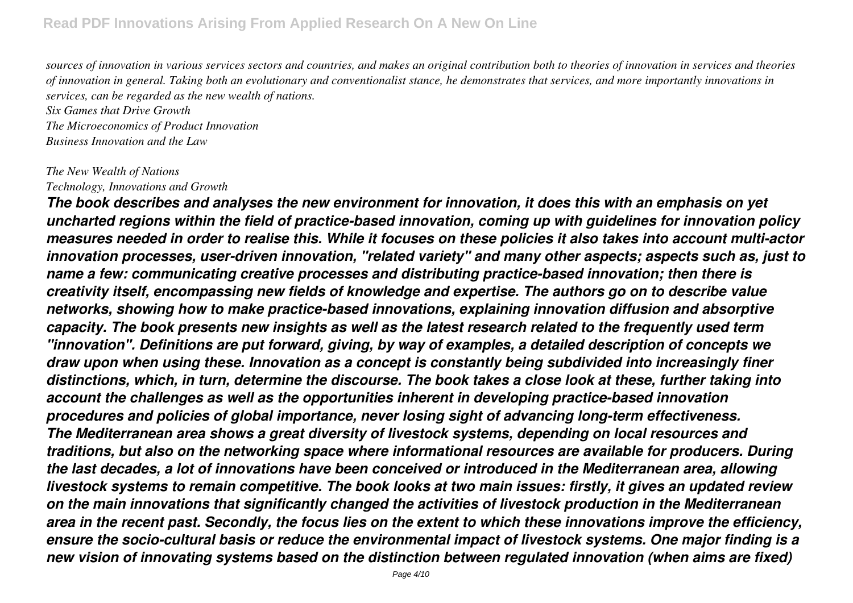*sources of innovation in various services sectors and countries, and makes an original contribution both to theories of innovation in services and theories of innovation in general. Taking both an evolutionary and conventionalist stance, he demonstrates that services, and more importantly innovations in services, can be regarded as the new wealth of nations.*

*Six Games that Drive Growth The Microeconomics of Product Innovation Business Innovation and the Law*

#### *The New Wealth of Nations*

#### *Technology, Innovations and Growth*

*The book describes and analyses the new environment for innovation, it does this with an emphasis on yet uncharted regions within the field of practice-based innovation, coming up with guidelines for innovation policy measures needed in order to realise this. While it focuses on these policies it also takes into account multi-actor innovation processes, user-driven innovation, "related variety" and many other aspects; aspects such as, just to name a few: communicating creative processes and distributing practice-based innovation; then there is creativity itself, encompassing new fields of knowledge and expertise. The authors go on to describe value networks, showing how to make practice-based innovations, explaining innovation diffusion and absorptive capacity. The book presents new insights as well as the latest research related to the frequently used term "innovation". Definitions are put forward, giving, by way of examples, a detailed description of concepts we draw upon when using these. Innovation as a concept is constantly being subdivided into increasingly finer distinctions, which, in turn, determine the discourse. The book takes a close look at these, further taking into account the challenges as well as the opportunities inherent in developing practice-based innovation procedures and policies of global importance, never losing sight of advancing long-term effectiveness. The Mediterranean area shows a great diversity of livestock systems, depending on local resources and traditions, but also on the networking space where informational resources are available for producers. During the last decades, a lot of innovations have been conceived or introduced in the Mediterranean area, allowing livestock systems to remain competitive. The book looks at two main issues: firstly, it gives an updated review on the main innovations that significantly changed the activities of livestock production in the Mediterranean area in the recent past. Secondly, the focus lies on the extent to which these innovations improve the efficiency, ensure the socio-cultural basis or reduce the environmental impact of livestock systems. One major finding is a new vision of innovating systems based on the distinction between regulated innovation (when aims are fixed)*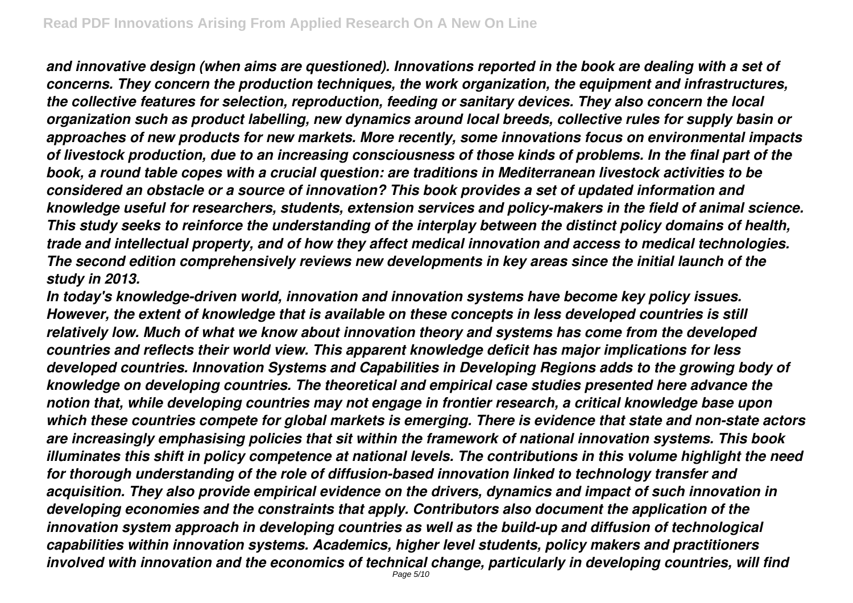*and innovative design (when aims are questioned). Innovations reported in the book are dealing with a set of concerns. They concern the production techniques, the work organization, the equipment and infrastructures, the collective features for selection, reproduction, feeding or sanitary devices. They also concern the local organization such as product labelling, new dynamics around local breeds, collective rules for supply basin or approaches of new products for new markets. More recently, some innovations focus on environmental impacts of livestock production, due to an increasing consciousness of those kinds of problems. In the final part of the book, a round table copes with a crucial question: are traditions in Mediterranean livestock activities to be considered an obstacle or a source of innovation? This book provides a set of updated information and knowledge useful for researchers, students, extension services and policy-makers in the field of animal science. This study seeks to reinforce the understanding of the interplay between the distinct policy domains of health, trade and intellectual property, and of how they affect medical innovation and access to medical technologies. The second edition comprehensively reviews new developments in key areas since the initial launch of the study in 2013.*

*In today's knowledge-driven world, innovation and innovation systems have become key policy issues. However, the extent of knowledge that is available on these concepts in less developed countries is still relatively low. Much of what we know about innovation theory and systems has come from the developed countries and reflects their world view. This apparent knowledge deficit has major implications for less developed countries. Innovation Systems and Capabilities in Developing Regions adds to the growing body of knowledge on developing countries. The theoretical and empirical case studies presented here advance the notion that, while developing countries may not engage in frontier research, a critical knowledge base upon which these countries compete for global markets is emerging. There is evidence that state and non-state actors are increasingly emphasising policies that sit within the framework of national innovation systems. This book illuminates this shift in policy competence at national levels. The contributions in this volume highlight the need for thorough understanding of the role of diffusion-based innovation linked to technology transfer and acquisition. They also provide empirical evidence on the drivers, dynamics and impact of such innovation in developing economies and the constraints that apply. Contributors also document the application of the innovation system approach in developing countries as well as the build-up and diffusion of technological capabilities within innovation systems. Academics, higher level students, policy makers and practitioners involved with innovation and the economics of technical change, particularly in developing countries, will find* Page 5/10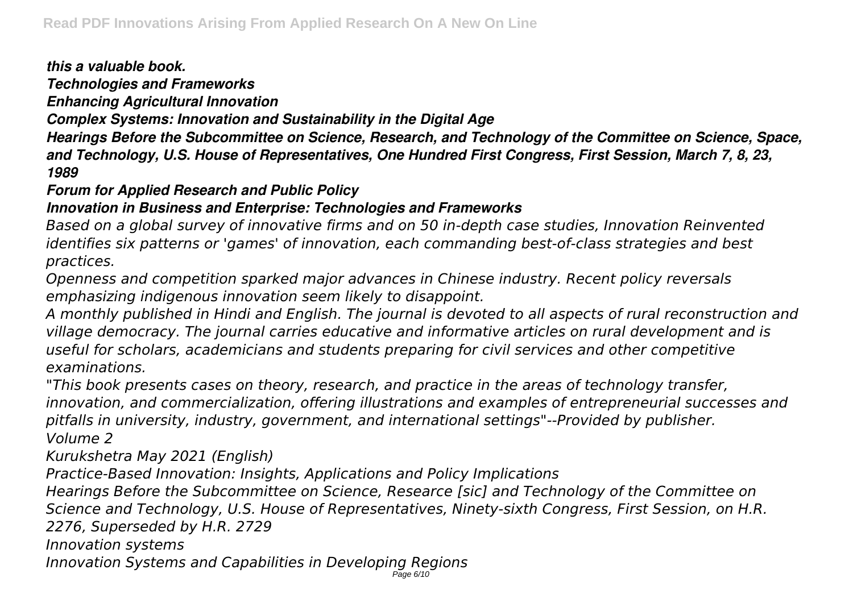*this a valuable book.*

*Technologies and Frameworks*

*Enhancing Agricultural Innovation*

*Complex Systems: Innovation and Sustainability in the Digital Age*

*Hearings Before the Subcommittee on Science, Research, and Technology of the Committee on Science, Space, and Technology, U.S. House of Representatives, One Hundred First Congress, First Session, March 7, 8, 23, 1989*

## *Forum for Applied Research and Public Policy*

# *Innovation in Business and Enterprise: Technologies and Frameworks*

*Based on a global survey of innovative firms and on 50 in-depth case studies, Innovation Reinvented identifies six patterns or 'games' of innovation, each commanding best-of-class strategies and best practices.*

*Openness and competition sparked major advances in Chinese industry. Recent policy reversals emphasizing indigenous innovation seem likely to disappoint.*

*A monthly published in Hindi and English. The journal is devoted to all aspects of rural reconstruction and village democracy. The journal carries educative and informative articles on rural development and is useful for scholars, academicians and students preparing for civil services and other competitive examinations.*

*"This book presents cases on theory, research, and practice in the areas of technology transfer, innovation, and commercialization, offering illustrations and examples of entrepreneurial successes and pitfalls in university, industry, government, and international settings"--Provided by publisher. Volume 2*

*Kurukshetra May 2021 (English)*

*Practice-Based Innovation: Insights, Applications and Policy Implications*

*Hearings Before the Subcommittee on Science, Researce [sic] and Technology of the Committee on Science and Technology, U.S. House of Representatives, Ninety-sixth Congress, First Session, on H.R. 2276, Superseded by H.R. 2729*

*Innovation systems*

*Innovation Systems and Capabilities in Developing Regions* Page  $6/10$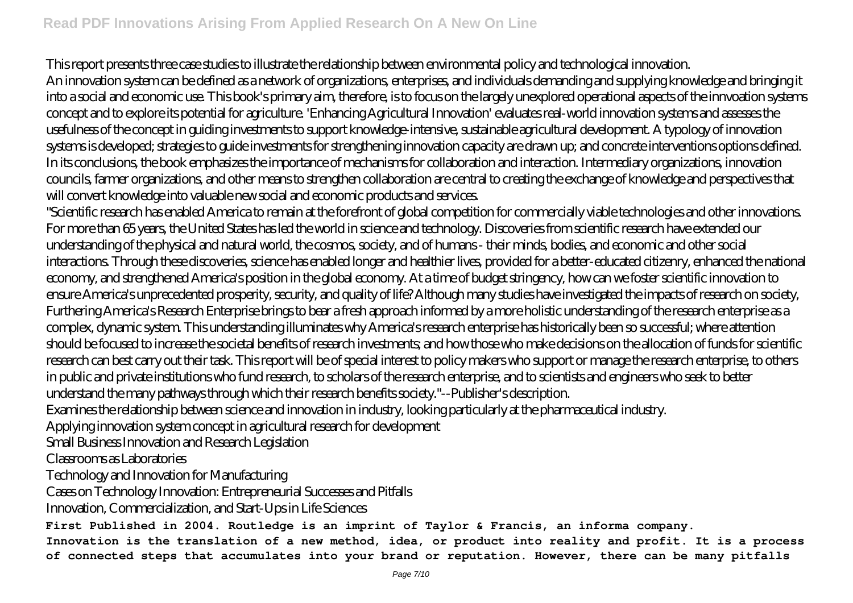This report presents three case studies to illustrate the relationship between environmental policy and technological innovation. An innovation system can be defined as a network of organizations, enterprises, and individuals demanding and supplying knowledge and bringing it into a social and economic use. This book's primary aim, therefore, is to focus on the largely unexplored operational aspects of the innvoation systems concept and to explore its potential for agriculture. 'Enhancing Agricultural Innovation' evaluates real-world innovation systems and assesses the usefulness of the concept in guiding investments to support knowledge-intensive, sustainable agricultural development. A typology of innovation systems is developed; strategies to guide investments for strengthening innovation capacity are drawn up; and concrete interventions options defined. In its conclusions, the book emphasizes the importance of mechanisms for collaboration and interaction. Intermediary organizations, innovation councils, farmer organizations, and other means to strengthen collaboration are central to creating the exchange of knowledge and perspectives that will convert knowledge into valuable new social and economic products and services.

"Scientific research has enabled America to remain at the forefront of global competition for commercially viable technologies and other innovations. For more than 65 years, the United States has led the world in science and technology. Discoveries from scientific research have extended our understanding of the physical and natural world, the cosmos, society, and of humans - their minds, bodies, and economic and other social interactions. Through these discoveries, science has enabled longer and healthier lives, provided for a better-educated citizenry, enhanced the national economy, and strengthened America's position in the global economy. At a time of budget stringency, how can we foster scientific innovation to ensure America's unprecedented prosperity, security, and quality of life? Although many studies have investigated the impacts of research on society, Furthering America's Research Enterprise brings to bear a fresh approach informed by a more holistic understanding of the research enterprise as a complex, dynamic system. This understanding illuminates why America's research enterprise has historically been so successful; where attention should be focused to increase the societal benefits of research investments; and how those who make decisions on the allocation of funds for scientific research can best carry out their task. This report will be of special interest to policy makers who support or manage the research enterprise, to others in public and private institutions who fund research, to scholars of the research enterprise, and to scientists and engineers who seek to better understand the many pathways through which their research benefits society."--Publisher's description.

Examines the relationship between science and innovation in industry, looking particularly at the pharmaceutical industry.

Applying innovation system concept in agricultural research for development

Small Business Innovation and Research Legislation

Classrooms as Laboratories

Technology and Innovation for Manufacturing

Cases on Technology Innovation: Entrepreneurial Successes and Pitfalls

Innovation, Commercialization, and Start-Ups in Life Sciences

**First Published in 2004. Routledge is an imprint of Taylor & Francis, an informa company. Innovation is the translation of a new method, idea, or product into reality and profit. It is a process of connected steps that accumulates into your brand or reputation. However, there can be many pitfalls**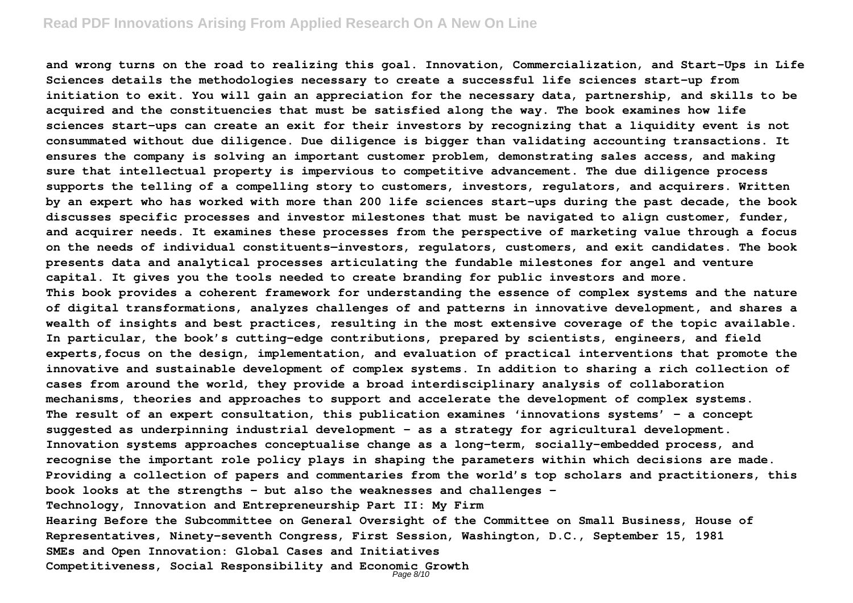**and wrong turns on the road to realizing this goal. Innovation, Commercialization, and Start-Ups in Life Sciences details the methodologies necessary to create a successful life sciences start-up from initiation to exit. You will gain an appreciation for the necessary data, partnership, and skills to be acquired and the constituencies that must be satisfied along the way. The book examines how life sciences start-ups can create an exit for their investors by recognizing that a liquidity event is not consummated without due diligence. Due diligence is bigger than validating accounting transactions. It ensures the company is solving an important customer problem, demonstrating sales access, and making sure that intellectual property is impervious to competitive advancement. The due diligence process supports the telling of a compelling story to customers, investors, regulators, and acquirers. Written by an expert who has worked with more than 200 life sciences start-ups during the past decade, the book discusses specific processes and investor milestones that must be navigated to align customer, funder, and acquirer needs. It examines these processes from the perspective of marketing value through a focus on the needs of individual constituents—investors, regulators, customers, and exit candidates. The book presents data and analytical processes articulating the fundable milestones for angel and venture capital. It gives you the tools needed to create branding for public investors and more. This book provides a coherent framework for understanding the essence of complex systems and the nature of digital transformations, analyzes challenges of and patterns in innovative development, and shares a wealth of insights and best practices, resulting in the most extensive coverage of the topic available. In particular, the book's cutting-edge contributions, prepared by scientists, engineers, and field experts,focus on the design, implementation, and evaluation of practical interventions that promote the innovative and sustainable development of complex systems. In addition to sharing a rich collection of cases from around the world, they provide a broad interdisciplinary analysis of collaboration mechanisms, theories and approaches to support and accelerate the development of complex systems. The result of an expert consultation, this publication examines 'innovations systems' – a concept suggested as underpinning industrial development – as a strategy for agricultural development. Innovation systems approaches conceptualise change as a long-term, socially-embedded process, and recognise the important role policy plays in shaping the parameters within which decisions are made. Providing a collection of papers and commentaries from the world's top scholars and practitioners, this book looks at the strengths – but also the weaknesses and challenges – Technology, Innovation and Entrepreneurship Part II: My Firm Hearing Before the Subcommittee on General Oversight of the Committee on Small Business, House of Representatives, Ninety-seventh Congress, First Session, Washington, D.C., September 15, 1981 SMEs and Open Innovation: Global Cases and Initiatives Competitiveness, Social Responsibility and Economic Growth** Page 8/10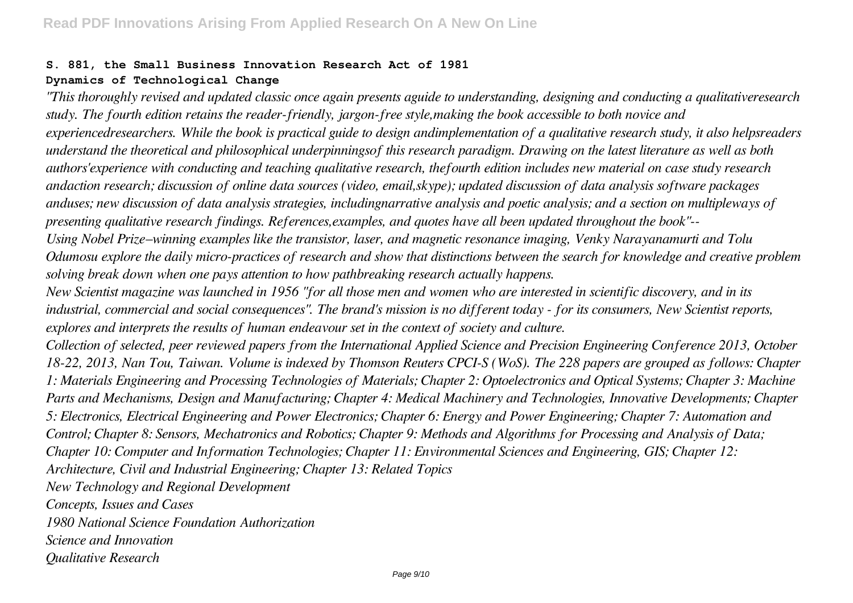#### **S. 881, the Small Business Innovation Research Act of 1981 Dynamics of Technological Change**

*"This thoroughly revised and updated classic once again presents aguide to understanding, designing and conducting a qualitativeresearch study. The fourth edition retains the reader-friendly, jargon-free style,making the book accessible to both novice and experiencedresearchers. While the book is practical guide to design andimplementation of a qualitative research study, it also helpsreaders understand the theoretical and philosophical underpinningsof this research paradigm. Drawing on the latest literature as well as both authors'experience with conducting and teaching qualitative research, thefourth edition includes new material on case study research andaction research; discussion of online data sources (video, email,skype); updated discussion of data analysis software packages anduses; new discussion of data analysis strategies, includingnarrative analysis and poetic analysis; and a section on multipleways of presenting qualitative research findings. References,examples, and quotes have all been updated throughout the book"-- Using Nobel Prize–winning examples like the transistor, laser, and magnetic resonance imaging, Venky Narayanamurti and Tolu Odumosu explore the daily micro-practices of research and show that distinctions between the search for knowledge and creative problem solving break down when one pays attention to how pathbreaking research actually happens. New Scientist magazine was launched in 1956 "for all those men and women who are interested in scientific discovery, and in its industrial, commercial and social consequences". The brand's mission is no different today - for its consumers, New Scientist reports, explores and interprets the results of human endeavour set in the context of society and culture. Collection of selected, peer reviewed papers from the International Applied Science and Precision Engineering Conference 2013, October 18-22, 2013, Nan Tou, Taiwan. Volume is indexed by Thomson Reuters CPCI-S (WoS). The 228 papers are grouped as follows: Chapter 1: Materials Engineering and Processing Technologies of Materials; Chapter 2: Optoelectronics and Optical Systems; Chapter 3: Machine Parts and Mechanisms, Design and Manufacturing; Chapter 4: Medical Machinery and Technologies, Innovative Developments; Chapter 5: Electronics, Electrical Engineering and Power Electronics; Chapter 6: Energy and Power Engineering; Chapter 7: Automation and Control; Chapter 8: Sensors, Mechatronics and Robotics; Chapter 9: Methods and Algorithms for Processing and Analysis of Data; Chapter 10: Computer and Information Technologies; Chapter 11: Environmental Sciences and Engineering, GIS; Chapter 12: Architecture, Civil and Industrial Engineering; Chapter 13: Related Topics New Technology and Regional Development Concepts, Issues and Cases 1980 National Science Foundation Authorization Science and Innovation Qualitative Research*